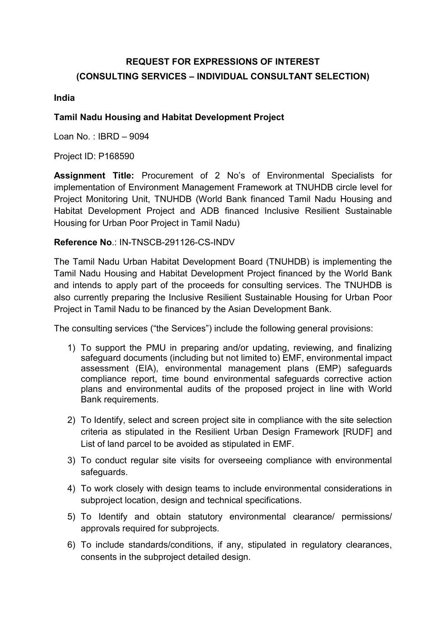# REQUEST FOR EXPRESSIONS OF INTEREST (CONSULTING SERVICES – INDIVIDUAL CONSULTANT SELECTION)

#### India

#### Tamil Nadu Housing and Habitat Development Project

Loan No.  $\cdot$  IBRD – 9094

Project ID: P168590

Assignment Title: Procurement of 2 No's of Environmental Specialists for implementation of Environment Management Framework at TNUHDB circle level for Project Monitoring Unit, TNUHDB (World Bank financed Tamil Nadu Housing and Habitat Development Project and ADB financed Inclusive Resilient Sustainable Housing for Urban Poor Project in Tamil Nadu)

#### Reference No.: IN-TNSCB-291126-CS-INDV

The Tamil Nadu Urban Habitat Development Board (TNUHDB) is implementing the Tamil Nadu Housing and Habitat Development Project financed by the World Bank and intends to apply part of the proceeds for consulting services. The TNUHDB is also currently preparing the Inclusive Resilient Sustainable Housing for Urban Poor Project in Tamil Nadu to be financed by the Asian Development Bank.

The consulting services ("the Services") include the following general provisions:

- 1) To support the PMU in preparing and/or updating, reviewing, and finalizing safeguard documents (including but not limited to) EMF, environmental impact assessment (EIA), environmental management plans (EMP) safeguards compliance report, time bound environmental safeguards corrective action plans and environmental audits of the proposed project in line with World Bank requirements.
- 2) To Identify, select and screen project site in compliance with the site selection criteria as stipulated in the Resilient Urban Design Framework [RUDF] and List of land parcel to be avoided as stipulated in EMF.
- 3) To conduct regular site visits for overseeing compliance with environmental safeguards.
- 4) To work closely with design teams to include environmental considerations in subproject location, design and technical specifications.
- 5) To Identify and obtain statutory environmental clearance/ permissions/ approvals required for subprojects.
- 6) To include standards/conditions, if any, stipulated in regulatory clearances, consents in the subproject detailed design.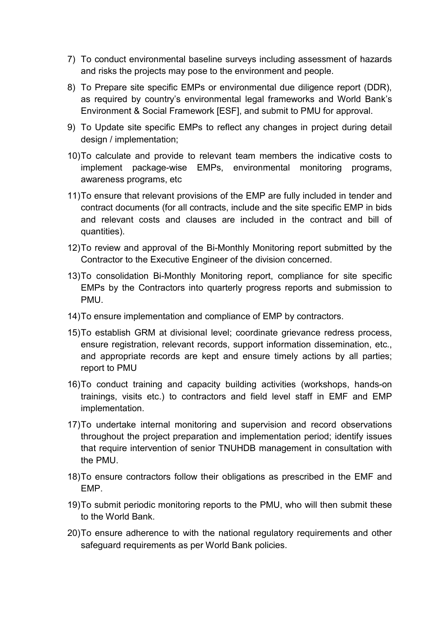- 7) To conduct environmental baseline surveys including assessment of hazards and risks the projects may pose to the environment and people.
- 8) To Prepare site specific EMPs or environmental due diligence report (DDR), as required by country's environmental legal frameworks and World Bank's Environment & Social Framework [ESF], and submit to PMU for approval.
- 9) To Update site specific EMPs to reflect any changes in project during detail design / implementation;
- 10) To calculate and provide to relevant team members the indicative costs to implement package-wise EMPs, environmental monitoring programs, awareness programs, etc
- 11) To ensure that relevant provisions of the EMP are fully included in tender and contract documents (for all contracts, include and the site specific EMP in bids and relevant costs and clauses are included in the contract and bill of quantities).
- 12) To review and approval of the Bi-Monthly Monitoring report submitted by the Contractor to the Executive Engineer of the division concerned.
- 13) To consolidation Bi-Monthly Monitoring report, compliance for site specific EMPs by the Contractors into quarterly progress reports and submission to **PMU.**
- 14) To ensure implementation and compliance of EMP by contractors.
- 15) To establish GRM at divisional level; coordinate grievance redress process, ensure registration, relevant records, support information dissemination, etc., and appropriate records are kept and ensure timely actions by all parties; report to PMU
- 16) To conduct training and capacity building activities (workshops, hands-on trainings, visits etc.) to contractors and field level staff in EMF and EMP implementation.
- 17) To undertake internal monitoring and supervision and record observations throughout the project preparation and implementation period; identify issues that require intervention of senior TNUHDB management in consultation with the PMU.
- 18) To ensure contractors follow their obligations as prescribed in the EMF and EMP.
- 19) To submit periodic monitoring reports to the PMU, who will then submit these to the World Bank.
- 20) To ensure adherence to with the national regulatory requirements and other safeguard requirements as per World Bank policies.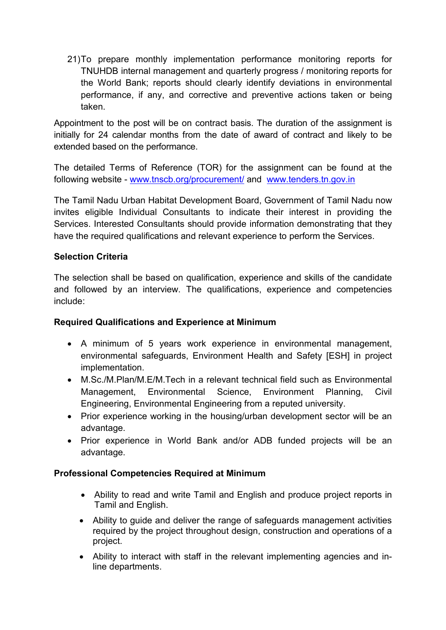21) To prepare monthly implementation performance monitoring reports for TNUHDB internal management and quarterly progress / monitoring reports for the World Bank; reports should clearly identify deviations in environmental performance, if any, and corrective and preventive actions taken or being taken.

Appointment to the post will be on contract basis. The duration of the assignment is initially for 24 calendar months from the date of award of contract and likely to be extended based on the performance.

The detailed Terms of Reference (TOR) for the assignment can be found at the following website - www.tnscb.org/procurement/ and www.tenders.tn.gov.in

The Tamil Nadu Urban Habitat Development Board, Government of Tamil Nadu now invites eligible Individual Consultants to indicate their interest in providing the Services. Interested Consultants should provide information demonstrating that they have the required qualifications and relevant experience to perform the Services.

# Selection Criteria

The selection shall be based on qualification, experience and skills of the candidate and followed by an interview. The qualifications, experience and competencies include:

### Required Qualifications and Experience at Minimum

- A minimum of 5 years work experience in environmental management, environmental safeguards, Environment Health and Safety [ESH] in project implementation.
- M.Sc./M.Plan/M.E/M.Tech in a relevant technical field such as Environmental Management, Environmental Science, Environment Planning, Civil Engineering, Environmental Engineering from a reputed university.
- Prior experience working in the housing/urban development sector will be an advantage.
- Prior experience in World Bank and/or ADB funded projects will be an advantage.

### Professional Competencies Required at Minimum

- Ability to read and write Tamil and English and produce project reports in Tamil and English.
- Ability to guide and deliver the range of safeguards management activities required by the project throughout design, construction and operations of a project.
- Ability to interact with staff in the relevant implementing agencies and inline departments.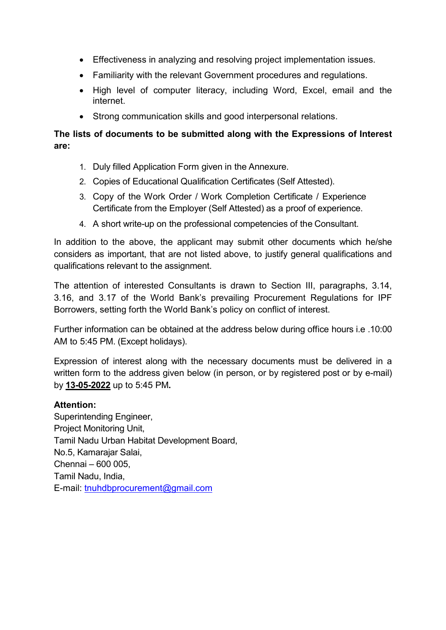- Effectiveness in analyzing and resolving project implementation issues.
- Familiarity with the relevant Government procedures and regulations.
- High level of computer literacy, including Word, Excel, email and the internet.
- Strong communication skills and good interpersonal relations.

# The lists of documents to be submitted along with the Expressions of Interest are:

- 1. Duly filled Application Form given in the Annexure.
- 2. Copies of Educational Qualification Certificates (Self Attested).
- 3. Copy of the Work Order / Work Completion Certificate / Experience Certificate from the Employer (Self Attested) as a proof of experience.
- 4. A short write-up on the professional competencies of the Consultant.

In addition to the above, the applicant may submit other documents which he/she considers as important, that are not listed above, to justify general qualifications and qualifications relevant to the assignment.

The attention of interested Consultants is drawn to Section III, paragraphs, 3.14, 3.16, and 3.17 of the World Bank's prevailing Procurement Regulations for IPF Borrowers, setting forth the World Bank's policy on conflict of interest.

Further information can be obtained at the address below during office hours i.e .10:00 AM to 5:45 PM. (Except holidays).

Expression of interest along with the necessary documents must be delivered in a written form to the address given below (in person, or by registered post or by e-mail) by 13-05-2022 up to 5:45 PM.

#### Attention:

Superintending Engineer, Project Monitoring Unit, Tamil Nadu Urban Habitat Development Board, No.5, Kamarajar Salai, Chennai – 600 005, Tamil Nadu, India, E-mail: tnuhdbprocurement@gmail.com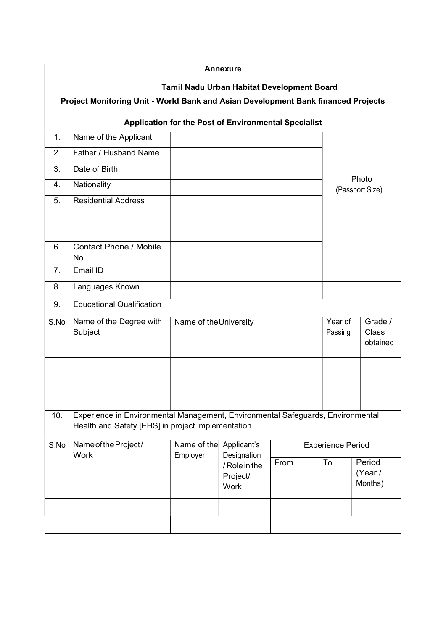|      |                                                                                                                                      |                         | <b>Annexure</b>                                                 |                          |                    |                          |                              |  |  |
|------|--------------------------------------------------------------------------------------------------------------------------------------|-------------------------|-----------------------------------------------------------------|--------------------------|--------------------|--------------------------|------------------------------|--|--|
|      | Project Monitoring Unit - World Bank and Asian Development Bank financed Projects                                                    |                         | Tamil Nadu Urban Habitat Development Board                      |                          |                    |                          |                              |  |  |
|      |                                                                                                                                      |                         | Application for the Post of Environmental Specialist            |                          |                    |                          |                              |  |  |
| 1.   | Name of the Applicant                                                                                                                |                         |                                                                 |                          |                    |                          |                              |  |  |
| 2.   | Father / Husband Name                                                                                                                |                         |                                                                 |                          |                    |                          |                              |  |  |
| 3.   | Date of Birth                                                                                                                        |                         |                                                                 |                          |                    |                          |                              |  |  |
| 4.   | Nationality                                                                                                                          |                         |                                                                 |                          |                    | Photo<br>(Passport Size) |                              |  |  |
| 5.   | <b>Residential Address</b>                                                                                                           |                         |                                                                 |                          |                    |                          |                              |  |  |
| 6.   | <b>Contact Phone / Mobile</b><br>No                                                                                                  |                         |                                                                 |                          |                    |                          |                              |  |  |
| 7.   | Email ID                                                                                                                             |                         |                                                                 |                          |                    |                          |                              |  |  |
| 8.   | Languages Known                                                                                                                      |                         |                                                                 |                          |                    |                          |                              |  |  |
| 9.   | <b>Educational Qualification</b>                                                                                                     |                         |                                                                 |                          |                    |                          |                              |  |  |
| S.No | Name of the Degree with<br>Subject                                                                                                   | Name of the University  |                                                                 |                          | Year of<br>Passing |                          | Grade /<br>Class<br>obtained |  |  |
|      |                                                                                                                                      |                         |                                                                 |                          |                    |                          |                              |  |  |
| 10.  | Experience in Environmental Management, Environmental Safeguards, Environmental<br>Health and Safety [EHS] in project implementation |                         |                                                                 |                          |                    |                          |                              |  |  |
| S.No | Name of the Project/<br><b>Work</b>                                                                                                  | Name of the<br>Employer | Applicant's<br>Designation<br>/ Role in the<br>Project/<br>Work | <b>Experience Period</b> |                    |                          |                              |  |  |
|      |                                                                                                                                      |                         |                                                                 | From                     | To                 |                          | Period<br>(Year /<br>Months) |  |  |
|      |                                                                                                                                      |                         |                                                                 |                          |                    |                          |                              |  |  |